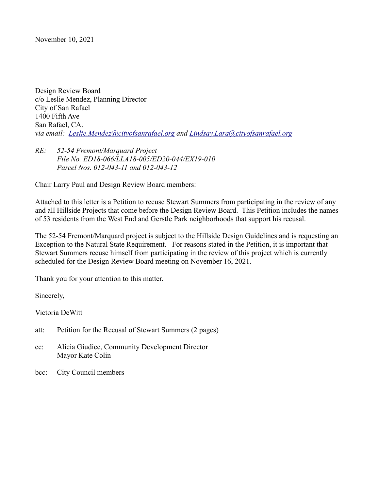November 10, 2021

Design Review Board c/o Leslie Mendez, Planning Director City of San Rafael 1400 Fifth Ave San Rafael, CA. *via email: [Leslie.Mendez@cityofsanrafael.org](mailto:Leslie.Mendez@cityofsanrafael.org) and Lindsay.Lara@cityofsanrafael.org*

## *RE: 52-54 Fremont/Marquard Project File No. ED18-066/LLA18-005/ED20-044/EX19-010 Parcel Nos. 012-043-11 and 012-043-12*

Chair Larry Paul and Design Review Board members:

Attached to this letter is a Petition to recuse Stewart Summers from participating in the review of any and all Hillside Projects that come before the Design Review Board. This Petition includes the names of 53 residents from the West End and Gerstle Park neighborhoods that support his recusal.

The 52-54 Fremont/Marquard project is subject to the Hillside Design Guidelines and is requesting an Exception to the Natural State Requirement. For reasons stated in the Petition, it is important that Stewart Summers recuse himself from participating in the review of this project which is currently scheduled for the Design Review Board meeting on November 16, 2021.

Thank you for your attention to this matter.

Sincerely,

Victoria DeWitt

att: Petition for the Recusal of Stewart Summers (2 pages)

- cc: Alicia Giudice, Community Development Director Mayor Kate Colin
- bcc: City Council members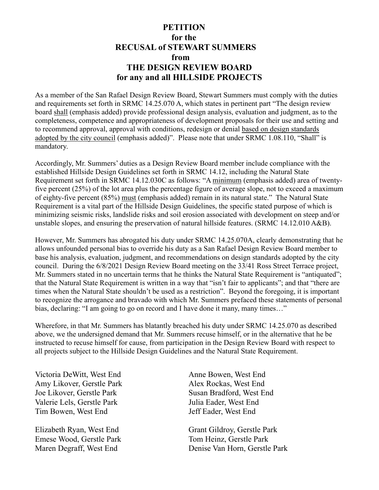## **PETITION for the RECUSAL of STEWART SUMMERS** *<u>from</u>* **THE DESIGN REVIEW BOARD for any and all HILLSIDE PROJECTS**

As a member of the San Rafael Design Review Board, Stewart Summers must comply with the duties and requirements set forth in SRMC 14.25.070 A, which states in pertinent part "The design review board shall (emphasis added) provide professional design analysis, evaluation and judgment, as to the completeness, competence and appropriateness of development proposals for their use and setting and to recommend approval, approval with conditions, redesign or denial based on design standards adopted by the city council (emphasis added)". Please note that under SRMC 1.08.110, "Shall" is mandatory.

Accordingly, Mr. Summers' duties as a Design Review Board member include compliance with the established Hillside Design Guidelines set forth in SRMC 14.12, including the Natural State Requirement set forth in SRMC 14.12.030C as follows: "A minimum (emphasis added) area of twentyfive percent (25%) of the lot area plus the percentage figure of average slope, not to exceed a maximum of eighty-five percent (85%) must (emphasis added) remain in its natural state." The Natural State Requirement is a vital part of the Hillside Design Guidelines, the specific stated purpose of which is minimizing seismic risks, landslide risks and soil erosion associated with development on steep and/or unstable slopes, and ensuring the preservation of natural hillside features. (SRMC 14.12.010 A&B).

However, Mr. Summers has abrogated his duty under SRMC 14.25.070A, clearly demonstrating that he allows unfounded personal bias to override his duty as a San Rafael Design Review Board member to base his analysis, evaluation, judgment, and recommendations on design standards adopted by the city council. During the 6/8/2021 Design Review Board meeting on the 33/41 Ross Street Terrace project, Mr. Summers stated in no uncertain terms that he thinks the Natural State Requirement is "antiquated"; that the Natural State Requirement is written in a way that "isn't fair to applicants"; and that "there are times when the Natural State shouldn't be used as a restriction". Beyond the foregoing, it is important to recognize the arrogance and bravado with which Mr. Summers prefaced these statements of personal bias, declaring: "I am going to go on record and I have done it many, many times…"

Wherefore, in that Mr. Summers has blatantly breached his duty under SRMC 14.25.070 as described above, we the undersigned demand that Mr. Summers recuse himself, or in the alternative that he be instructed to recuse himself for cause, from participation in the Design Review Board with respect to all projects subject to the Hillside Design Guidelines and the Natural State Requirement.

Victoria DeWitt, West End Anne Bowen, West End Amy Likover, Gerstle Park Alex Rockas, West End Joe Likover, Gerstle Park Susan Bradford, West End Valerie Lels, Gerstle Park Julia Eader, West End Tim Bowen, West End Jeff Eader, West End

Elizabeth Ryan, West End Grant Gildroy, Gerstle Park Emese Wood, Gerstle Park Tom Heinz, Gerstle Park

Maren Degraff, West End Denise Van Horn, Gerstle Park